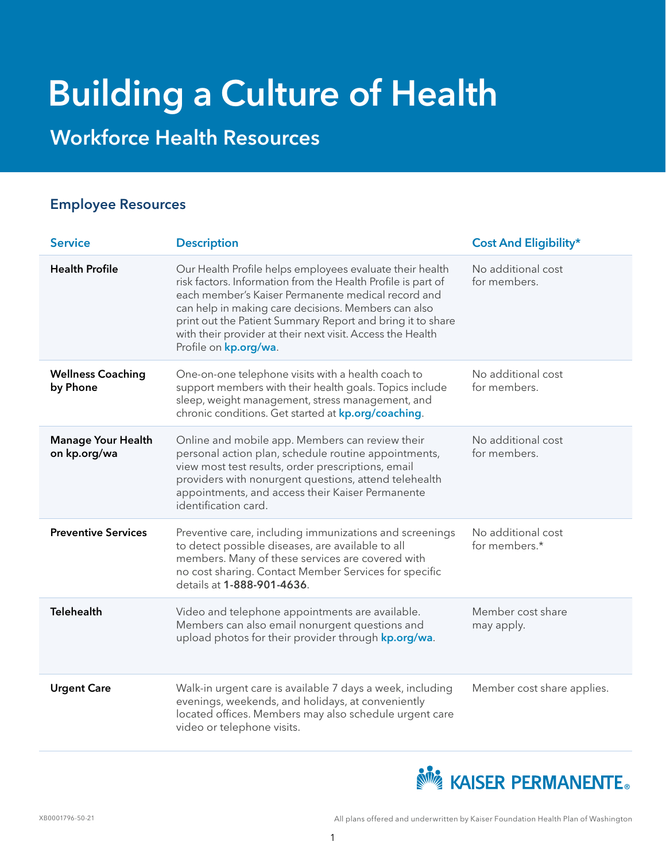# Building a Culture of Health

Workforce Health Resources

#### Employee Resources

| <b>Service</b>                            | <b>Description</b>                                                                                                                                                                                                                                                                                                                                                                         | <b>Cost And Eligibility*</b>        |
|-------------------------------------------|--------------------------------------------------------------------------------------------------------------------------------------------------------------------------------------------------------------------------------------------------------------------------------------------------------------------------------------------------------------------------------------------|-------------------------------------|
| <b>Health Profile</b>                     | Our Health Profile helps employees evaluate their health<br>risk factors. Information from the Health Profile is part of<br>each member's Kaiser Permanente medical record and<br>can help in making care decisions. Members can also<br>print out the Patient Summary Report and bring it to share<br>with their provider at their next visit. Access the Health<br>Profile on kp.org/wa. | No additional cost<br>for members.  |
| <b>Wellness Coaching</b><br>by Phone      | One-on-one telephone visits with a health coach to<br>support members with their health goals. Topics include<br>sleep, weight management, stress management, and<br>chronic conditions. Get started at kp.org/coaching.                                                                                                                                                                   | No additional cost<br>for members.  |
| <b>Manage Your Health</b><br>on kp.org/wa | Online and mobile app. Members can review their<br>personal action plan, schedule routine appointments,<br>view most test results, order prescriptions, email<br>providers with nonurgent questions, attend telehealth<br>appointments, and access their Kaiser Permanente<br>identification card.                                                                                         | No additional cost<br>for members.  |
| <b>Preventive Services</b>                | Preventive care, including immunizations and screenings<br>to detect possible diseases, are available to all<br>members. Many of these services are covered with<br>no cost sharing. Contact Member Services for specific<br>details at 1-888-901-4636.                                                                                                                                    | No additional cost<br>for members.* |
| <b>Telehealth</b>                         | Video and telephone appointments are available.<br>Members can also email nonurgent questions and<br>upload photos for their provider through kp.org/wa.                                                                                                                                                                                                                                   | Member cost share<br>may apply.     |
| <b>Urgent Care</b>                        | Walk-in urgent care is available 7 days a week, including<br>evenings, weekends, and holidays, at conveniently<br>located offices. Members may also schedule urgent care<br>video or telephone visits.                                                                                                                                                                                     | Member cost share applies.          |

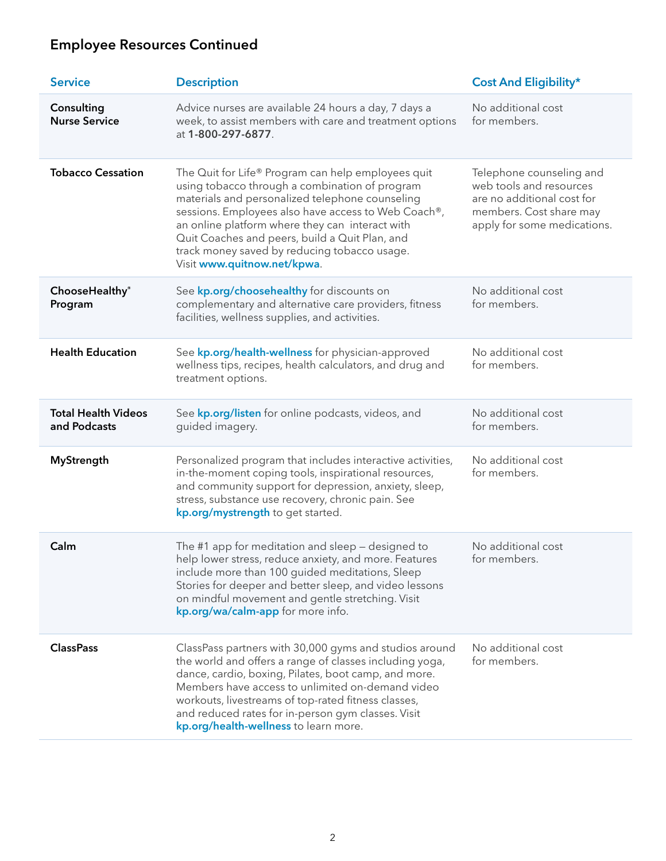# Employee Resources Continued

| <b>Service</b>                             | <b>Description</b>                                                                                                                                                                                                                                                                                                                                                                                 | <b>Cost And Eligibility*</b>                                                                                                                |
|--------------------------------------------|----------------------------------------------------------------------------------------------------------------------------------------------------------------------------------------------------------------------------------------------------------------------------------------------------------------------------------------------------------------------------------------------------|---------------------------------------------------------------------------------------------------------------------------------------------|
| Consulting<br><b>Nurse Service</b>         | Advice nurses are available 24 hours a day, 7 days a<br>week, to assist members with care and treatment options<br>at 1-800-297-6877.                                                                                                                                                                                                                                                              | No additional cost<br>for members.                                                                                                          |
| <b>Tobacco Cessation</b>                   | The Quit for Life® Program can help employees quit<br>using tobacco through a combination of program<br>materials and personalized telephone counseling<br>sessions. Employees also have access to Web Coach®,<br>an online platform where they can interact with<br>Quit Coaches and peers, build a Quit Plan, and<br>track money saved by reducing tobacco usage.<br>Visit www.quitnow.net/kpwa. | Telephone counseling and<br>web tools and resources<br>are no additional cost for<br>members. Cost share may<br>apply for some medications. |
| ChooseHealthy®<br>Program                  | See kp.org/choosehealthy for discounts on<br>complementary and alternative care providers, fitness<br>facilities, wellness supplies, and activities.                                                                                                                                                                                                                                               | No additional cost<br>for members.                                                                                                          |
| <b>Health Education</b>                    | See kp.org/health-wellness for physician-approved<br>wellness tips, recipes, health calculators, and drug and<br>treatment options.                                                                                                                                                                                                                                                                | No additional cost<br>for members.                                                                                                          |
| <b>Total Health Videos</b><br>and Podcasts | See kp.org/listen for online podcasts, videos, and<br>guided imagery.                                                                                                                                                                                                                                                                                                                              | No additional cost<br>for members.                                                                                                          |
| <b>MyStrength</b>                          | Personalized program that includes interactive activities,<br>in-the-moment coping tools, inspirational resources,<br>and community support for depression, anxiety, sleep,<br>stress, substance use recovery, chronic pain. See<br>kp.org/mystrength to get started.                                                                                                                              | No additional cost<br>for members.                                                                                                          |
| Calm                                       | The #1 app for meditation and sleep - designed to<br>help lower stress, reduce anxiety, and more. Features<br>include more than 100 guided meditations, Sleep<br>Stories for deeper and better sleep, and video lessons<br>on mindful movement and gentle stretching. Visit<br>kp.org/wa/calm-app for more info.                                                                                   | No additional cost<br>for members.                                                                                                          |
| <b>ClassPass</b>                           | ClassPass partners with 30,000 gyms and studios around<br>the world and offers a range of classes including yoga,<br>dance, cardio, boxing, Pilates, boot camp, and more.<br>Members have access to unlimited on-demand video<br>workouts, livestreams of top-rated fitness classes,<br>and reduced rates for in-person gym classes. Visit<br>kp.org/health-wellness to learn more.                | No additional cost<br>for members.                                                                                                          |